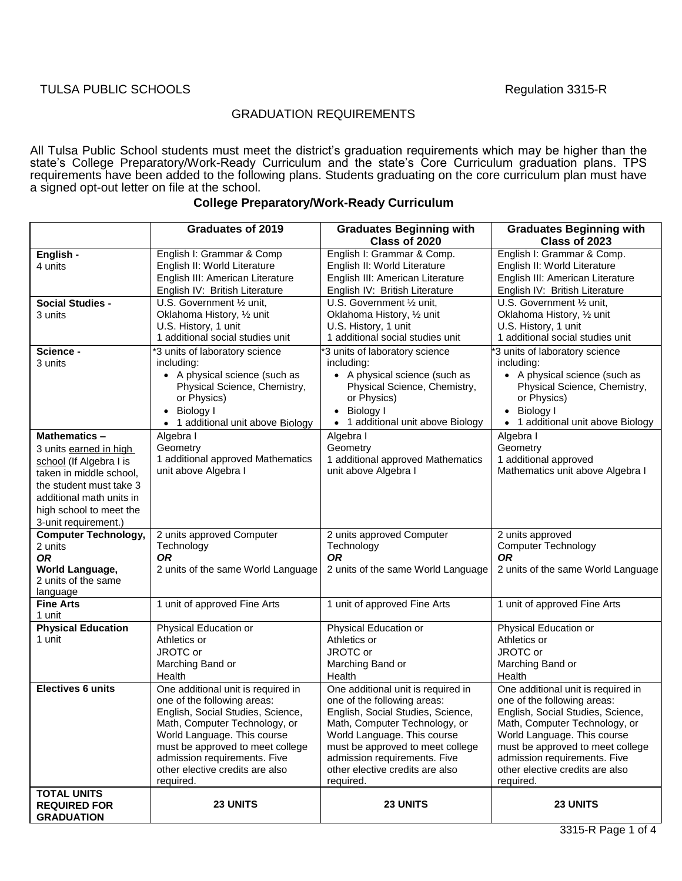## GRADUATION REQUIREMENTS

All Tulsa Public School students must meet the district's graduation requirements which may be higher than the state's College Preparatory/Work-Ready Curriculum and the state's Core Curriculum graduation plans. TPS requirements have been added to the following plans. Students graduating on the core curriculum plan must have a signed opt-out letter on file at the school.

|                                        | <b>Graduates of 2019</b>                                         | <b>Graduates Beginning with</b>                                  | <b>Graduates Beginning with</b>                                  |
|----------------------------------------|------------------------------------------------------------------|------------------------------------------------------------------|------------------------------------------------------------------|
|                                        |                                                                  | Class of 2020                                                    | Class of 2023                                                    |
| English -                              | English I: Grammar & Comp                                        | English I: Grammar & Comp.                                       | English I: Grammar & Comp.                                       |
| 4 units                                | English II: World Literature                                     | English II: World Literature                                     | English II: World Literature                                     |
|                                        | English III: American Literature                                 | English III: American Literature                                 | English III: American Literature                                 |
|                                        | English IV: British Literature                                   | English IV: British Literature                                   | English IV: British Literature                                   |
| <b>Social Studies -</b>                | U.S. Government 1/2 unit,                                        | U.S. Government 1/2 unit,                                        | U.S. Government 1/2 unit,                                        |
| 3 units                                | Oklahoma History, 1/2 unit<br>U.S. History, 1 unit               | Oklahoma History, 1/2 unit<br>U.S. History, 1 unit               | Oklahoma History, 1/2 unit<br>U.S. History, 1 unit               |
|                                        | 1 additional social studies unit                                 | 1 additional social studies unit                                 | 1 additional social studies unit                                 |
| Science -                              | *3 units of laboratory science                                   | '3 units of laboratory science                                   | *3 units of laboratory science                                   |
| 3 units                                | including:                                                       | including:                                                       | including:                                                       |
|                                        | • A physical science (such as                                    | • A physical science (such as                                    | • A physical science (such as                                    |
|                                        | Physical Science, Chemistry,                                     | Physical Science, Chemistry,                                     | Physical Science, Chemistry,                                     |
|                                        | or Physics)                                                      | or Physics)                                                      | or Physics)                                                      |
|                                        | Biology I                                                        | Biology I                                                        | • Biology I                                                      |
|                                        | 1 additional unit above Biology                                  | • 1 additional unit above Biology                                | 1 additional unit above Biology                                  |
| <b>Mathematics -</b>                   | Algebra I                                                        | Algebra I                                                        | Algebra I                                                        |
| 3 units earned in high                 | Geometry                                                         | Geometry                                                         | Geometry                                                         |
| school (If Algebra I is                | 1 additional approved Mathematics                                | 1 additional approved Mathematics                                | 1 additional approved                                            |
| taken in middle school,                | unit above Algebra I                                             | unit above Algebra I                                             | Mathematics unit above Algebra I                                 |
| the student must take 3                |                                                                  |                                                                  |                                                                  |
| additional math units in               |                                                                  |                                                                  |                                                                  |
| high school to meet the                |                                                                  |                                                                  |                                                                  |
| 3-unit requirement.)                   |                                                                  |                                                                  |                                                                  |
| <b>Computer Technology,</b><br>2 units | 2 units approved Computer<br>Technology                          | 2 units approved Computer<br>Technology                          | 2 units approved<br><b>Computer Technology</b>                   |
| <b>OR</b>                              | <b>OR</b>                                                        | <b>OR</b>                                                        | <b>OR</b>                                                        |
| World Language,                        | 2 units of the same World Language                               | 2 units of the same World Language                               | 2 units of the same World Language                               |
| 2 units of the same                    |                                                                  |                                                                  |                                                                  |
| language                               |                                                                  |                                                                  |                                                                  |
| <b>Fine Arts</b>                       | 1 unit of approved Fine Arts                                     | 1 unit of approved Fine Arts                                     | 1 unit of approved Fine Arts                                     |
| 1 unit<br><b>Physical Education</b>    | Physical Education or                                            | Physical Education or                                            | Physical Education or                                            |
| 1 unit                                 | Athletics or                                                     | Athletics or                                                     | Athletics or                                                     |
|                                        | JROTC or                                                         | JROTC or                                                         | JROTC or                                                         |
|                                        | Marching Band or                                                 | Marching Band or                                                 | Marching Band or                                                 |
|                                        | Health                                                           | Health                                                           | Health                                                           |
| <b>Electives 6 units</b>               | One additional unit is required in                               | One additional unit is required in                               | One additional unit is required in                               |
|                                        | one of the following areas:                                      | one of the following areas:                                      | one of the following areas:                                      |
|                                        | English, Social Studies, Science,                                | English, Social Studies, Science,                                | English, Social Studies, Science,                                |
|                                        | Math, Computer Technology, or                                    | Math, Computer Technology, or                                    | Math, Computer Technology, or                                    |
|                                        | World Language. This course                                      | World Language. This course                                      | World Language. This course                                      |
|                                        | must be approved to meet college<br>admission requirements. Five | must be approved to meet college<br>admission requirements. Five | must be approved to meet college<br>admission requirements. Five |
|                                        | other elective credits are also                                  | other elective credits are also                                  | other elective credits are also                                  |
|                                        | required.                                                        | required.                                                        | required.                                                        |
| <b>TOTAL UNITS</b>                     |                                                                  |                                                                  |                                                                  |
| <b>REQUIRED FOR</b>                    | 23 UNITS                                                         | 23 UNITS                                                         | 23 UNITS                                                         |
| <b>GRADUATION</b>                      |                                                                  |                                                                  |                                                                  |

## **College Preparatory/Work-Ready Curriculum**

3315-R Page 1 of 4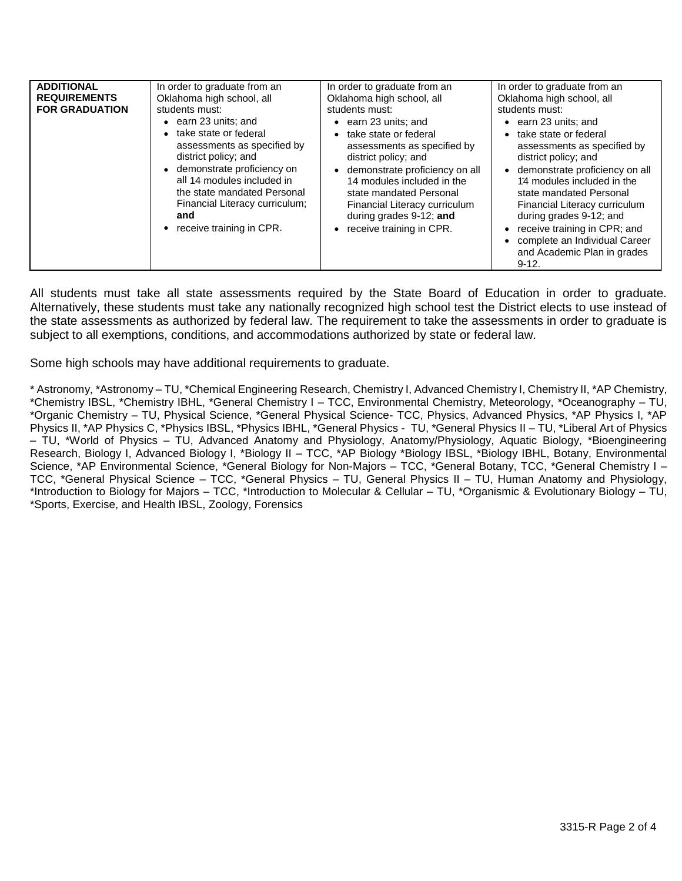| <b>ADDITIONAL</b>     | In order to graduate from an                                                                                                                                                                                                                 | In order to graduate from an                                                                                                                                                                                                                                                 | In order to graduate from an                                                                                                                                                                                                                                                                                                   |
|-----------------------|----------------------------------------------------------------------------------------------------------------------------------------------------------------------------------------------------------------------------------------------|------------------------------------------------------------------------------------------------------------------------------------------------------------------------------------------------------------------------------------------------------------------------------|--------------------------------------------------------------------------------------------------------------------------------------------------------------------------------------------------------------------------------------------------------------------------------------------------------------------------------|
| <b>REQUIREMENTS</b>   | Oklahoma high school, all                                                                                                                                                                                                                    | Oklahoma high school, all                                                                                                                                                                                                                                                    | Oklahoma high school, all                                                                                                                                                                                                                                                                                                      |
| <b>FOR GRADUATION</b> | students must:                                                                                                                                                                                                                               | students must:                                                                                                                                                                                                                                                               | students must:                                                                                                                                                                                                                                                                                                                 |
|                       | $\bullet$ earn 23 units; and                                                                                                                                                                                                                 | earn 23 units; and                                                                                                                                                                                                                                                           | $\bullet$ earn 23 units; and                                                                                                                                                                                                                                                                                                   |
|                       | take state or federal<br>assessments as specified by<br>district policy; and<br>demonstrate proficiency on<br>all 14 modules included in<br>the state mandated Personal<br>Financial Literacy curriculum;<br>and<br>receive training in CPR. | take state or federal<br>assessments as specified by<br>district policy; and<br>demonstrate proficiency on all<br>$\bullet$<br>14 modules included in the<br>state mandated Personal<br>Financial Literacy curriculum<br>during grades 9-12; and<br>receive training in CPR. | take state or federal<br>$\bullet$<br>assessments as specified by<br>district policy; and<br>demonstrate proficiency on all<br>$\bullet$<br>14 modules included in the<br>state mandated Personal<br>Financial Literacy curriculum<br>during grades 9-12; and<br>receive training in CPR; and<br>complete an Individual Career |
|                       |                                                                                                                                                                                                                                              |                                                                                                                                                                                                                                                                              | and Academic Plan in grades<br>$9 - 12.$                                                                                                                                                                                                                                                                                       |

All students must take all state assessments required by the State Board of Education in order to graduate. Alternatively, these students must take any nationally recognized high school test the District elects to use instead of the state assessments as authorized by federal law. The requirement to take the assessments in order to graduate is subject to all exemptions, conditions, and accommodations authorized by state or federal law.

Some high schools may have additional requirements to graduate.

\* Astronomy, \*Astronomy – TU, \*Chemical Engineering Research, Chemistry I, Advanced Chemistry I, Chemistry II, \*AP Chemistry, \*Chemistry IBSL, \*Chemistry IBHL, \*General Chemistry I – TCC, Environmental Chemistry, Meteorology, \*Oceanography – TU, \*Organic Chemistry – TU, Physical Science, \*General Physical Science- TCC, Physics, Advanced Physics, \*AP Physics I, \*AP Physics II, \*AP Physics C, \*Physics IBSL, \*Physics IBHL, \*General Physics - TU, \*General Physics II – TU, \*Liberal Art of Physics – TU, \*World of Physics – TU, Advanced Anatomy and Physiology, Anatomy/Physiology, Aquatic Biology, \*Bioengineering Research, Biology I, Advanced Biology I, \*Biology II - TCC, \*AP Biology \*Biology IBSL, \*Biology IBHL, Botany, Environmental Science, \*AP Environmental Science, \*General Biology for Non-Majors – TCC, \*General Botany, TCC, \*General Chemistry I – TCC, \*General Physical Science – TCC, \*General Physics – TU, General Physics II – TU, Human Anatomy and Physiology, \*Introduction to Biology for Majors – TCC, \*Introduction to Molecular & Cellular – TU, \*Organismic & Evolutionary Biology – TU, \*Sports, Exercise, and Health IBSL, Zoology, Forensics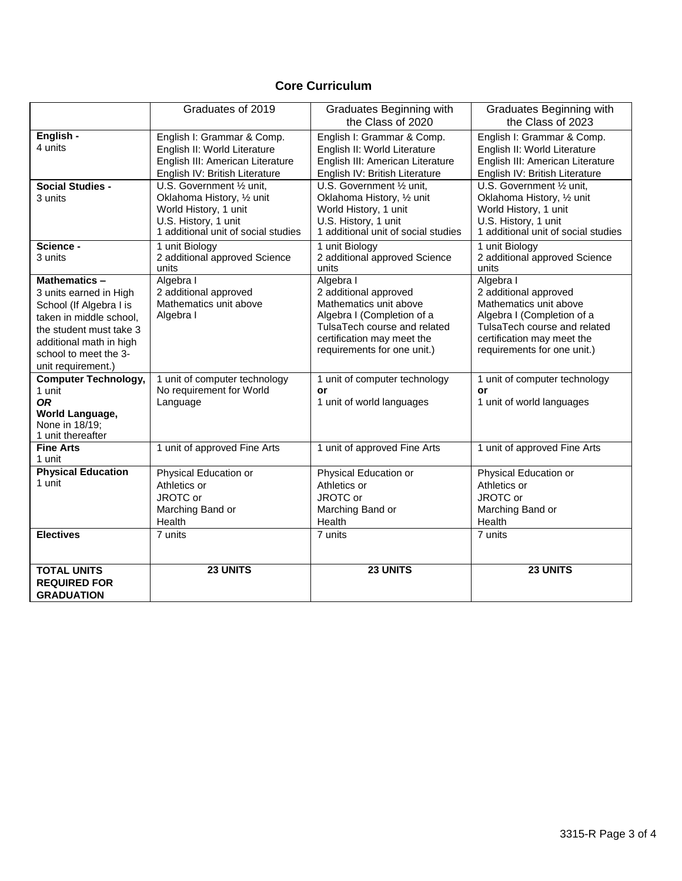## **Core Curriculum**

|                                       | Graduates of 2019                      | Graduates Beginning with<br>the Class of 2020 | Graduates Beginning with<br>the Class of 2023 |
|---------------------------------------|----------------------------------------|-----------------------------------------------|-----------------------------------------------|
| English -                             | English I: Grammar & Comp.             | English I: Grammar & Comp.                    | English I: Grammar & Comp.                    |
| 4 units                               | English II: World Literature           | English II: World Literature                  | English II: World Literature                  |
|                                       | English III: American Literature       | English III: American Literature              | English III: American Literature              |
|                                       | English IV: British Literature         | English IV: British Literature                | English IV: British Literature                |
| <b>Social Studies -</b>               | U.S. Government 1/2 unit,              | U.S. Government 1/2 unit,                     | U.S. Government 1/2 unit,                     |
| 3 units                               | Oklahoma History, 1/2 unit             | Oklahoma History, 1/2 unit                    | Oklahoma History, 1/2 unit                    |
|                                       | World History, 1 unit                  | World History, 1 unit                         | World History, 1 unit                         |
|                                       | U.S. History, 1 unit                   | U.S. History, 1 unit                          | U.S. History, 1 unit                          |
|                                       | 1 additional unit of social studies    | 1 additional unit of social studies           | 1 additional unit of social studies           |
| Science -                             | 1 unit Biology                         | 1 unit Biology                                | 1 unit Biology                                |
| 3 units                               | 2 additional approved Science<br>units | 2 additional approved Science<br>units        | 2 additional approved Science<br>units        |
| Mathematics-                          | Algebra I                              | Algebra I                                     | Algebra I                                     |
| 3 units earned in High                | 2 additional approved                  | 2 additional approved                         | 2 additional approved                         |
| School (If Algebra I is               | Mathematics unit above                 | Mathematics unit above                        | Mathematics unit above                        |
| taken in middle school,               | Algebra I                              | Algebra I (Completion of a                    | Algebra I (Completion of a                    |
| the student must take 3               |                                        | TulsaTech course and related                  | TulsaTech course and related                  |
| additional math in high               |                                        | certification may meet the                    | certification may meet the                    |
| school to meet the 3-                 |                                        | requirements for one unit.)                   | requirements for one unit.)                   |
| unit requirement.)                    |                                        |                                               |                                               |
| <b>Computer Technology,</b>           | 1 unit of computer technology          | 1 unit of computer technology                 | 1 unit of computer technology                 |
| 1 unit                                | No requirement for World               | or                                            | or                                            |
| <b>OR</b>                             | Language                               | 1 unit of world languages                     | 1 unit of world languages                     |
| World Language,                       |                                        |                                               |                                               |
| None in 18/19;                        |                                        |                                               |                                               |
| 1 unit thereafter<br><b>Fine Arts</b> | 1 unit of approved Fine Arts           | 1 unit of approved Fine Arts                  | 1 unit of approved Fine Arts                  |
| 1 unit                                |                                        |                                               |                                               |
| <b>Physical Education</b>             | Physical Education or                  | Physical Education or                         | Physical Education or                         |
| 1 unit                                | Athletics or                           | Athletics or                                  | Athletics or                                  |
|                                       | JROTC or                               | JROTC or                                      | JROTC or                                      |
|                                       | Marching Band or                       | Marching Band or                              | Marching Band or                              |
|                                       | Health                                 | Health                                        | Health                                        |
| <b>Electives</b>                      | 7 units                                | 7 units                                       | 7 units                                       |
|                                       |                                        |                                               |                                               |
| <b>TOTAL UNITS</b>                    | 23 UNITS                               | 23 UNITS                                      | 23 UNITS                                      |
| <b>REQUIRED FOR</b>                   |                                        |                                               |                                               |
| <b>GRADUATION</b>                     |                                        |                                               |                                               |